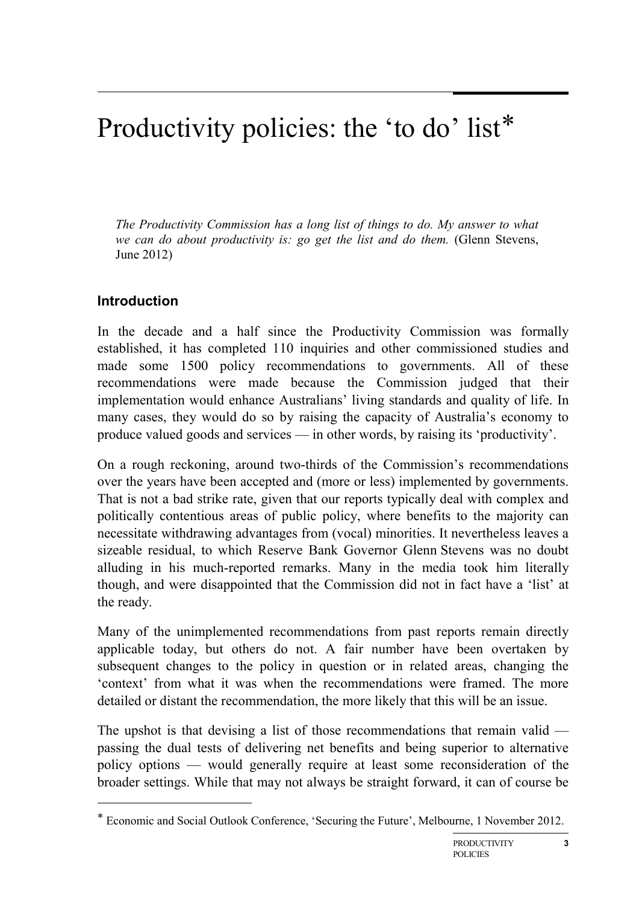# Productivity policies: the 'to do' list[\\*](#page-0-0)

*The Productivity Commission has a long list of things to do. My answer to what we can do about productivity is: go get the list and do them.* (Glenn Stevens, June 2012)

## **Introduction**

-

In the decade and a half since the Productivity Commission was formally established, it has completed 110 inquiries and other commissioned studies and made some 1500 policy recommendations to governments. All of these recommendations were made because the Commission judged that their implementation would enhance Australians' living standards and quality of life. In many cases, they would do so by raising the capacity of Australia's economy to produce valued goods and services — in other words, by raising its 'productivity'.

On a rough reckoning, around two-thirds of the Commission's recommendations over the years have been accepted and (more or less) implemented by governments. That is not a bad strike rate, given that our reports typically deal with complex and politically contentious areas of public policy, where benefits to the majority can necessitate withdrawing advantages from (vocal) minorities. It nevertheless leaves a sizeable residual, to which Reserve Bank Governor Glenn Stevens was no doubt alluding in his much-reported remarks. Many in the media took him literally though, and were disappointed that the Commission did not in fact have a 'list' at the ready.

Many of the unimplemented recommendations from past reports remain directly applicable today, but others do not. A fair number have been overtaken by subsequent changes to the policy in question or in related areas, changing the 'context' from what it was when the recommendations were framed. The more detailed or distant the recommendation, the more likely that this will be an issue.

The upshot is that devising a list of those recommendations that remain valid passing the dual tests of delivering net benefits and being superior to alternative policy options — would generally require at least some reconsideration of the broader settings. While that may not always be straight forward, it can of course be

<span id="page-0-0"></span><sup>\*</sup> Economic and Social Outlook Conference, 'Securing the Future', Melbourne, 1 November 2012.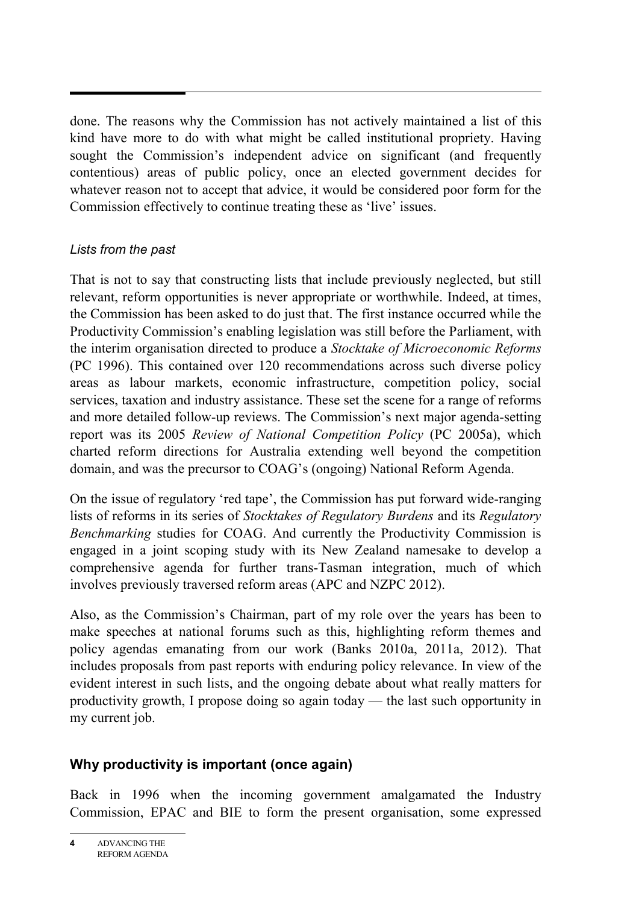done. The reasons why the Commission has not actively maintained a list of this kind have more to do with what might be called institutional propriety. Having sought the Commission's independent advice on significant (and frequently contentious) areas of public policy, once an elected government decides for whatever reason not to accept that advice, it would be considered poor form for the Commission effectively to continue treating these as 'live' issues.

#### *Lists from the past*

That is not to say that constructing lists that include previously neglected, but still relevant, reform opportunities is never appropriate or worthwhile. Indeed, at times, the Commission has been asked to do just that. The first instance occurred while the Productivity Commission's enabling legislation was still before the Parliament, with the interim organisation directed to produce a *Stocktake of Microeconomic Reforms* (PC 1996). This contained over 120 recommendations across such diverse policy areas as labour markets, economic infrastructure, competition policy, social services, taxation and industry assistance. These set the scene for a range of reforms and more detailed follow-up reviews. The Commission's next major agenda-setting report was its 2005 *Review of National Competition Policy* (PC 2005a), which charted reform directions for Australia extending well beyond the competition domain, and was the precursor to COAG's (ongoing) National Reform Agenda.

On the issue of regulatory 'red tape', the Commission has put forward wide-ranging lists of reforms in its series of *Stocktakes of Regulatory Burdens* and its *Regulatory Benchmarking* studies for COAG. And currently the Productivity Commission is engaged in a joint scoping study with its New Zealand namesake to develop a comprehensive agenda for further trans-Tasman integration, much of which involves previously traversed reform areas (APC and NZPC 2012).

Also, as the Commission's Chairman, part of my role over the years has been to make speeches at national forums such as this, highlighting reform themes and policy agendas emanating from our work (Banks 2010a, 2011a, 2012). That includes proposals from past reports with enduring policy relevance. In view of the evident interest in such lists, and the ongoing debate about what really matters for productivity growth, I propose doing so again today — the last such opportunity in my current job.

# **Why productivity is important (once again)**

Back in 1996 when the incoming government amalgamated the Industry Commission, EPAC and BIE to form the present organisation, some expressed

**<sup>4</sup>** ADVANCING THE REFORM AGENDA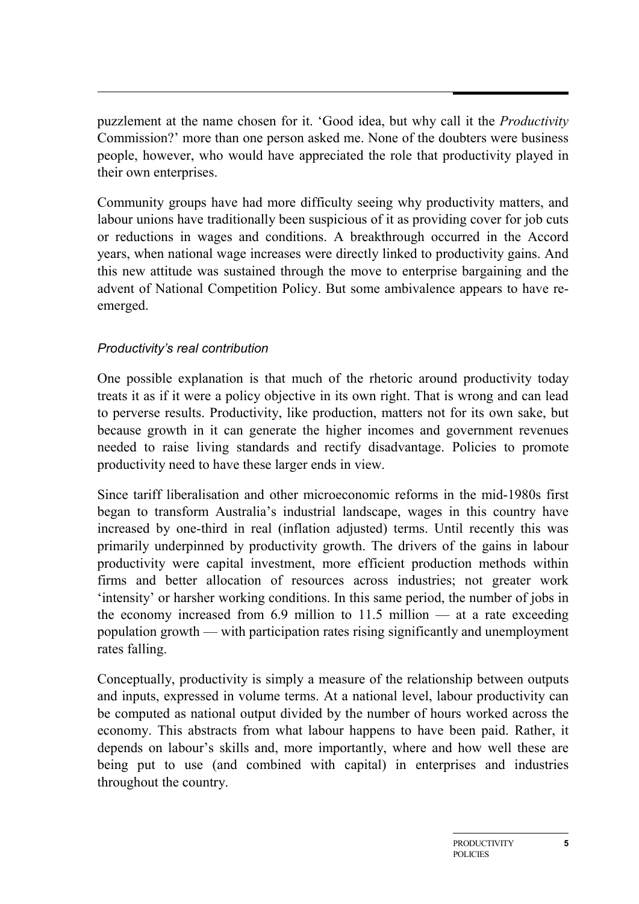puzzlement at the name chosen for it. 'Good idea, but why call it the *Productivity* Commission?' more than one person asked me. None of the doubters were business people, however, who would have appreciated the role that productivity played in their own enterprises.

Community groups have had more difficulty seeing why productivity matters, and labour unions have traditionally been suspicious of it as providing cover for job cuts or reductions in wages and conditions. A breakthrough occurred in the Accord years, when national wage increases were directly linked to productivity gains. And this new attitude was sustained through the move to enterprise bargaining and the advent of National Competition Policy. But some ambivalence appears to have reemerged.

#### *Productivity's real contribution*

One possible explanation is that much of the rhetoric around productivity today treats it as if it were a policy objective in its own right. That is wrong and can lead to perverse results. Productivity, like production, matters not for its own sake, but because growth in it can generate the higher incomes and government revenues needed to raise living standards and rectify disadvantage. Policies to promote productivity need to have these larger ends in view.

Since tariff liberalisation and other microeconomic reforms in the mid-1980s first began to transform Australia's industrial landscape, wages in this country have increased by one-third in real (inflation adjusted) terms. Until recently this was primarily underpinned by productivity growth. The drivers of the gains in labour productivity were capital investment, more efficient production methods within firms and better allocation of resources across industries; not greater work 'intensity' or harsher working conditions. In this same period, the number of jobs in the economy increased from 6.9 million to 11.5 million  $-$  at a rate exceeding population growth — with participation rates rising significantly and unemployment rates falling.

Conceptually, productivity is simply a measure of the relationship between outputs and inputs, expressed in volume terms. At a national level, labour productivity can be computed as national output divided by the number of hours worked across the economy. This abstracts from what labour happens to have been paid. Rather, it depends on labour's skills and, more importantly, where and how well these are being put to use (and combined with capital) in enterprises and industries throughout the country.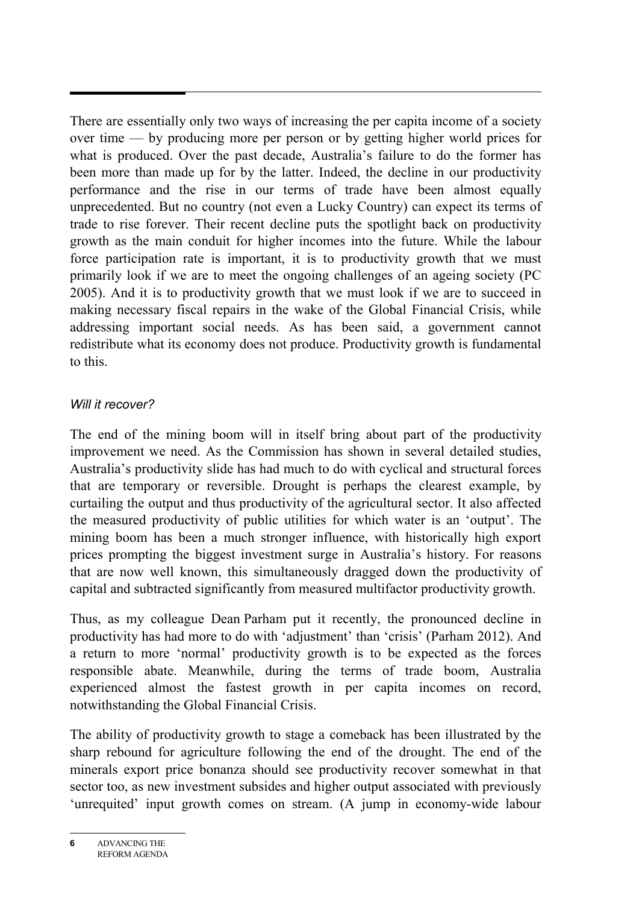There are essentially only two ways of increasing the per capita income of a society over time — by producing more per person or by getting higher world prices for what is produced. Over the past decade, Australia's failure to do the former has been more than made up for by the latter. Indeed, the decline in our productivity performance and the rise in our terms of trade have been almost equally unprecedented. But no country (not even a Lucky Country) can expect its terms of trade to rise forever. Their recent decline puts the spotlight back on productivity growth as the main conduit for higher incomes into the future. While the labour force participation rate is important, it is to productivity growth that we must primarily look if we are to meet the ongoing challenges of an ageing society (PC 2005). And it is to productivity growth that we must look if we are to succeed in making necessary fiscal repairs in the wake of the Global Financial Crisis, while addressing important social needs. As has been said, a government cannot redistribute what its economy does not produce. Productivity growth is fundamental to this.

#### *Will it recover?*

The end of the mining boom will in itself bring about part of the productivity improvement we need. As the Commission has shown in several detailed studies, Australia's productivity slide has had much to do with cyclical and structural forces that are temporary or reversible. Drought is perhaps the clearest example, by curtailing the output and thus productivity of the agricultural sector. It also affected the measured productivity of public utilities for which water is an 'output'. The mining boom has been a much stronger influence, with historically high export prices prompting the biggest investment surge in Australia's history. For reasons that are now well known, this simultaneously dragged down the productivity of capital and subtracted significantly from measured multifactor productivity growth.

Thus, as my colleague Dean Parham put it recently, the pronounced decline in productivity has had more to do with 'adjustment' than 'crisis' (Parham 2012). And a return to more 'normal' productivity growth is to be expected as the forces responsible abate. Meanwhile, during the terms of trade boom, Australia experienced almost the fastest growth in per capita incomes on record, notwithstanding the Global Financial Crisis.

The ability of productivity growth to stage a comeback has been illustrated by the sharp rebound for agriculture following the end of the drought. The end of the minerals export price bonanza should see productivity recover somewhat in that sector too, as new investment subsides and higher output associated with previously 'unrequited' input growth comes on stream. (A jump in economy-wide labour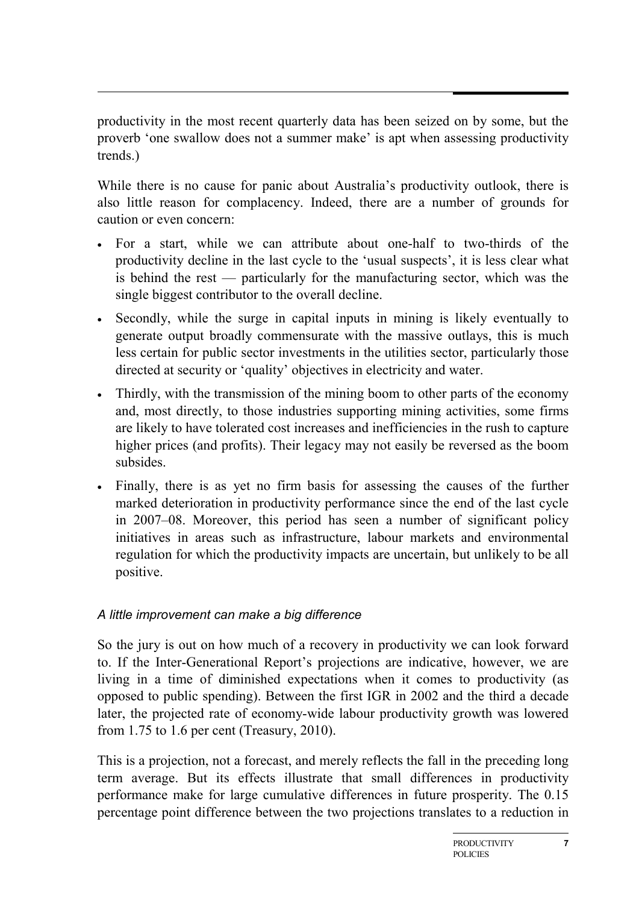productivity in the most recent quarterly data has been seized on by some, but the proverb 'one swallow does not a summer make' is apt when assessing productivity trends.)

While there is no cause for panic about Australia's productivity outlook, there is also little reason for complacency. Indeed, there are a number of grounds for caution or even concern:

- For a start, while we can attribute about one-half to two-thirds of the productivity decline in the last cycle to the 'usual suspects', it is less clear what is behind the rest — particularly for the manufacturing sector, which was the single biggest contributor to the overall decline.
- Secondly, while the surge in capital inputs in mining is likely eventually to generate output broadly commensurate with the massive outlays, this is much less certain for public sector investments in the utilities sector, particularly those directed at security or 'quality' objectives in electricity and water.
- Thirdly, with the transmission of the mining boom to other parts of the economy and, most directly, to those industries supporting mining activities, some firms are likely to have tolerated cost increases and inefficiencies in the rush to capture higher prices (and profits). Their legacy may not easily be reversed as the boom subsides.
- Finally, there is as yet no firm basis for assessing the causes of the further marked deterioration in productivity performance since the end of the last cycle in 2007–08. Moreover, this period has seen a number of significant policy initiatives in areas such as infrastructure, labour markets and environmental regulation for which the productivity impacts are uncertain, but unlikely to be all positive.

#### *A little improvement can make a big difference*

So the jury is out on how much of a recovery in productivity we can look forward to. If the Inter-Generational Report's projections are indicative, however, we are living in a time of diminished expectations when it comes to productivity (as opposed to public spending). Between the first IGR in 2002 and the third a decade later, the projected rate of economy-wide labour productivity growth was lowered from 1.75 to 1.6 per cent (Treasury, 2010).

This is a projection, not a forecast, and merely reflects the fall in the preceding long term average. But its effects illustrate that small differences in productivity performance make for large cumulative differences in future prosperity. The 0.15 percentage point difference between the two projections translates to a reduction in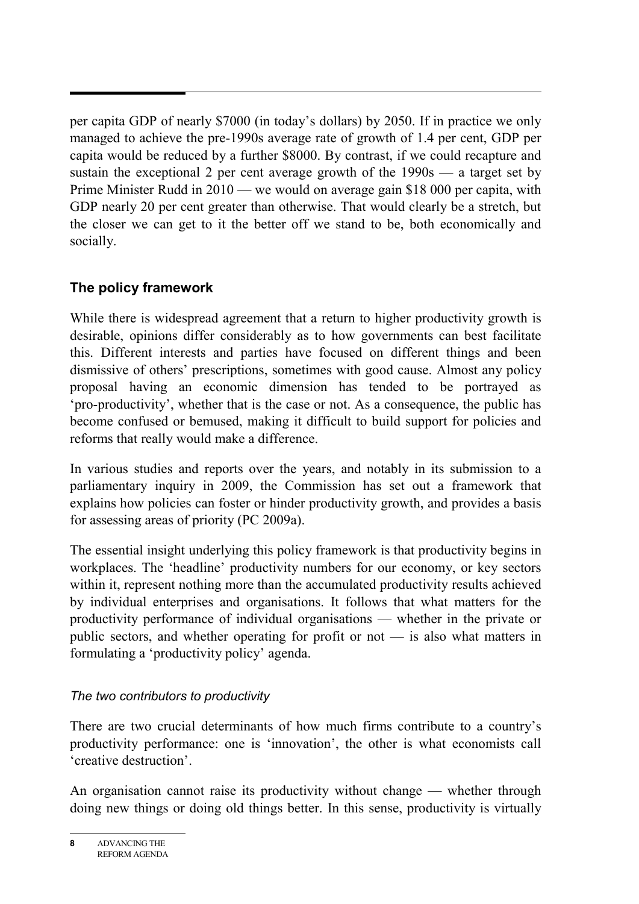per capita GDP of nearly \$7000 (in today's dollars) by 2050. If in practice we only managed to achieve the pre-1990s average rate of growth of 1.4 per cent, GDP per capita would be reduced by a further \$8000. By contrast, if we could recapture and sustain the exceptional 2 per cent average growth of the  $1990s - a$  target set by Prime Minister Rudd in 2010 — we would on average gain \$18 000 per capita, with GDP nearly 20 per cent greater than otherwise. That would clearly be a stretch, but the closer we can get to it the better off we stand to be, both economically and socially.

# **The policy framework**

While there is widespread agreement that a return to higher productivity growth is desirable, opinions differ considerably as to how governments can best facilitate this. Different interests and parties have focused on different things and been dismissive of others' prescriptions, sometimes with good cause. Almost any policy proposal having an economic dimension has tended to be portrayed as 'pro-productivity', whether that is the case or not. As a consequence, the public has become confused or bemused, making it difficult to build support for policies and reforms that really would make a difference.

In various studies and reports over the years, and notably in its submission to a parliamentary inquiry in 2009, the Commission has set out a framework that explains how policies can foster or hinder productivity growth, and provides a basis for assessing areas of priority (PC 2009a).

The essential insight underlying this policy framework is that productivity begins in workplaces. The 'headline' productivity numbers for our economy, or key sectors within it, represent nothing more than the accumulated productivity results achieved by individual enterprises and organisations. It follows that what matters for the productivity performance of individual organisations — whether in the private or public sectors, and whether operating for profit or not — is also what matters in formulating a 'productivity policy' agenda.

# *The two contributors to productivity*

There are two crucial determinants of how much firms contribute to a country's productivity performance: one is 'innovation', the other is what economists call 'creative destruction'.

An organisation cannot raise its productivity without change — whether through doing new things or doing old things better. In this sense, productivity is virtually

**8** ADVANCING THE REFORM AGENDA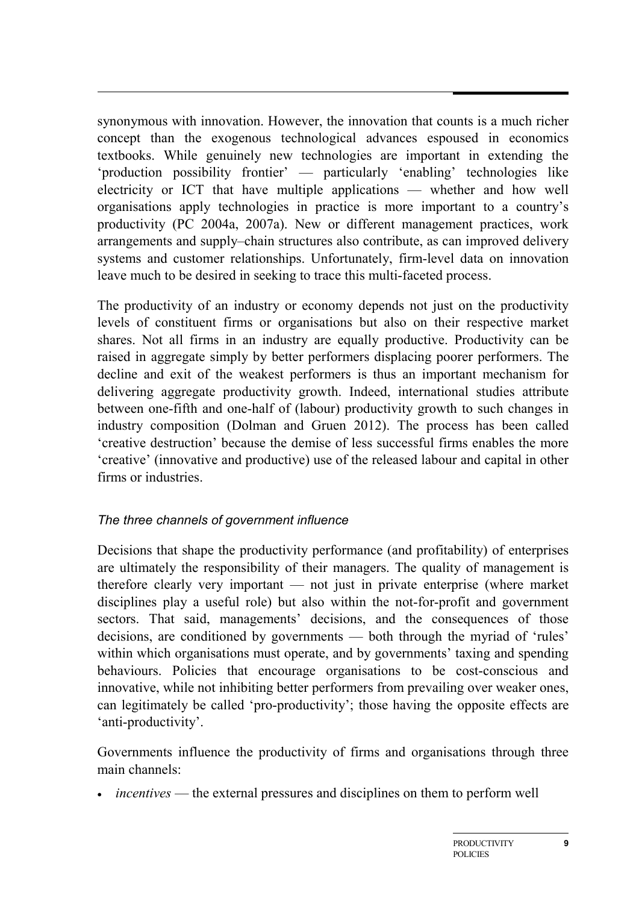synonymous with innovation. However, the innovation that counts is a much richer concept than the exogenous technological advances espoused in economics textbooks. While genuinely new technologies are important in extending the 'production possibility frontier' — particularly 'enabling' technologies like electricity or ICT that have multiple applications — whether and how well organisations apply technologies in practice is more important to a country's productivity (PC 2004a, 2007a). New or different management practices, work arrangements and supply–chain structures also contribute, as can improved delivery systems and customer relationships. Unfortunately, firm-level data on innovation leave much to be desired in seeking to trace this multi-faceted process.

The productivity of an industry or economy depends not just on the productivity levels of constituent firms or organisations but also on their respective market shares. Not all firms in an industry are equally productive. Productivity can be raised in aggregate simply by better performers displacing poorer performers. The decline and exit of the weakest performers is thus an important mechanism for delivering aggregate productivity growth. Indeed, international studies attribute between one-fifth and one-half of (labour) productivity growth to such changes in industry composition (Dolman and Gruen 2012). The process has been called 'creative destruction' because the demise of less successful firms enables the more 'creative' (innovative and productive) use of the released labour and capital in other firms or industries.

# *The three channels of government influence*

Decisions that shape the productivity performance (and profitability) of enterprises are ultimately the responsibility of their managers. The quality of management is therefore clearly very important — not just in private enterprise (where market disciplines play a useful role) but also within the not-for-profit and government sectors. That said, managements' decisions, and the consequences of those decisions, are conditioned by governments — both through the myriad of 'rules' within which organisations must operate, and by governments' taxing and spending behaviours. Policies that encourage organisations to be cost-conscious and innovative, while not inhibiting better performers from prevailing over weaker ones, can legitimately be called 'pro-productivity'; those having the opposite effects are 'anti-productivity'.

Governments influence the productivity of firms and organisations through three main channels:

• *incentives* — the external pressures and disciplines on them to perform well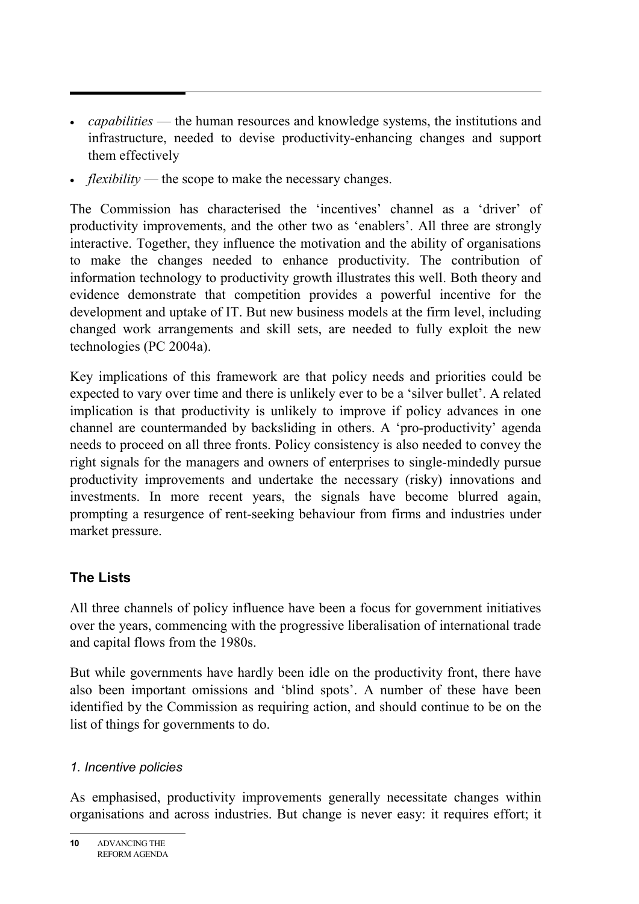- *capabilities* the human resources and knowledge systems, the institutions and infrastructure, needed to devise productivity-enhancing changes and support them effectively
- *flexibility* the scope to make the necessary changes.

The Commission has characterised the 'incentives' channel as a 'driver' of productivity improvements, and the other two as 'enablers'. All three are strongly interactive. Together, they influence the motivation and the ability of organisations to make the changes needed to enhance productivity. The contribution of information technology to productivity growth illustrates this well. Both theory and evidence demonstrate that competition provides a powerful incentive for the development and uptake of IT. But new business models at the firm level, including changed work arrangements and skill sets, are needed to fully exploit the new technologies (PC 2004a).

Key implications of this framework are that policy needs and priorities could be expected to vary over time and there is unlikely ever to be a 'silver bullet'. A related implication is that productivity is unlikely to improve if policy advances in one channel are countermanded by backsliding in others. A 'pro-productivity' agenda needs to proceed on all three fronts. Policy consistency is also needed to convey the right signals for the managers and owners of enterprises to single-mindedly pursue productivity improvements and undertake the necessary (risky) innovations and investments. In more recent years, the signals have become blurred again, prompting a resurgence of rent-seeking behaviour from firms and industries under market pressure.

# **The Lists**

All three channels of policy influence have been a focus for government initiatives over the years, commencing with the progressive liberalisation of international trade and capital flows from the 1980s.

But while governments have hardly been idle on the productivity front, there have also been important omissions and 'blind spots'. A number of these have been identified by the Commission as requiring action, and should continue to be on the list of things for governments to do.

# *1. Incentive policies*

As emphasised, productivity improvements generally necessitate changes within organisations and across industries. But change is never easy: it requires effort; it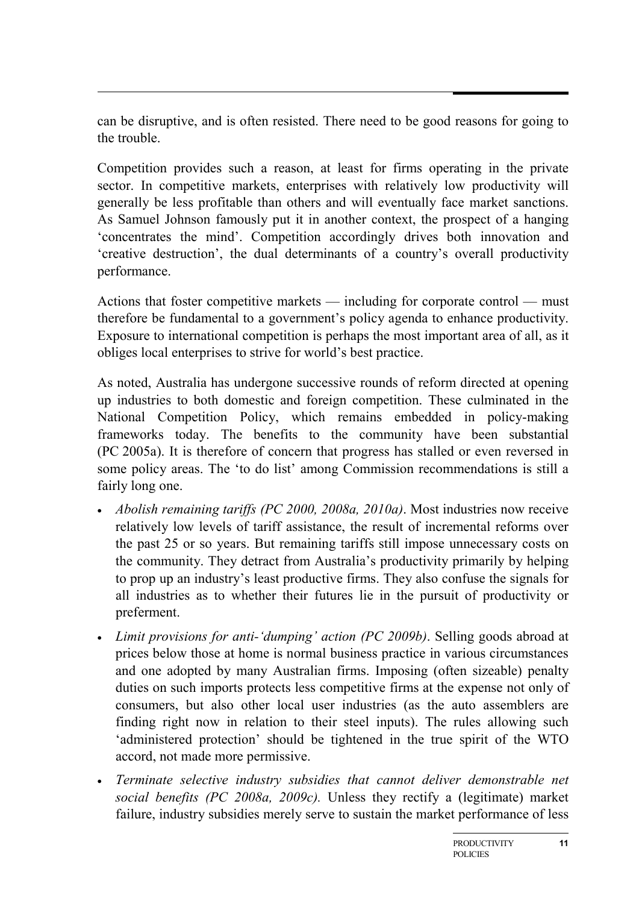can be disruptive, and is often resisted. There need to be good reasons for going to the trouble.

Competition provides such a reason, at least for firms operating in the private sector. In competitive markets, enterprises with relatively low productivity will generally be less profitable than others and will eventually face market sanctions. As Samuel Johnson famously put it in another context, the prospect of a hanging 'concentrates the mind'. Competition accordingly drives both innovation and 'creative destruction', the dual determinants of a country's overall productivity performance.

Actions that foster competitive markets — including for corporate control — must therefore be fundamental to a government's policy agenda to enhance productivity. Exposure to international competition is perhaps the most important area of all, as it obliges local enterprises to strive for world's best practice.

As noted, Australia has undergone successive rounds of reform directed at opening up industries to both domestic and foreign competition. These culminated in the National Competition Policy, which remains embedded in policy-making frameworks today. The benefits to the community have been substantial (PC 2005a). It is therefore of concern that progress has stalled or even reversed in some policy areas. The 'to do list' among Commission recommendations is still a fairly long one.

- *Abolish remaining tariffs (PC 2000, 2008a, 2010a)*. Most industries now receive relatively low levels of tariff assistance, the result of incremental reforms over the past 25 or so years. But remaining tariffs still impose unnecessary costs on the community. They detract from Australia's productivity primarily by helping to prop up an industry's least productive firms. They also confuse the signals for all industries as to whether their futures lie in the pursuit of productivity or preferment.
- *Limit provisions for anti-'dumping' action (PC 2009b)*. Selling goods abroad at prices below those at home is normal business practice in various circumstances and one adopted by many Australian firms. Imposing (often sizeable) penalty duties on such imports protects less competitive firms at the expense not only of consumers, but also other local user industries (as the auto assemblers are finding right now in relation to their steel inputs). The rules allowing such 'administered protection' should be tightened in the true spirit of the WTO accord, not made more permissive.
- *Terminate selective industry subsidies that cannot deliver demonstrable net social benefits (PC 2008a, 2009c).* Unless they rectify a (legitimate) market failure, industry subsidies merely serve to sustain the market performance of less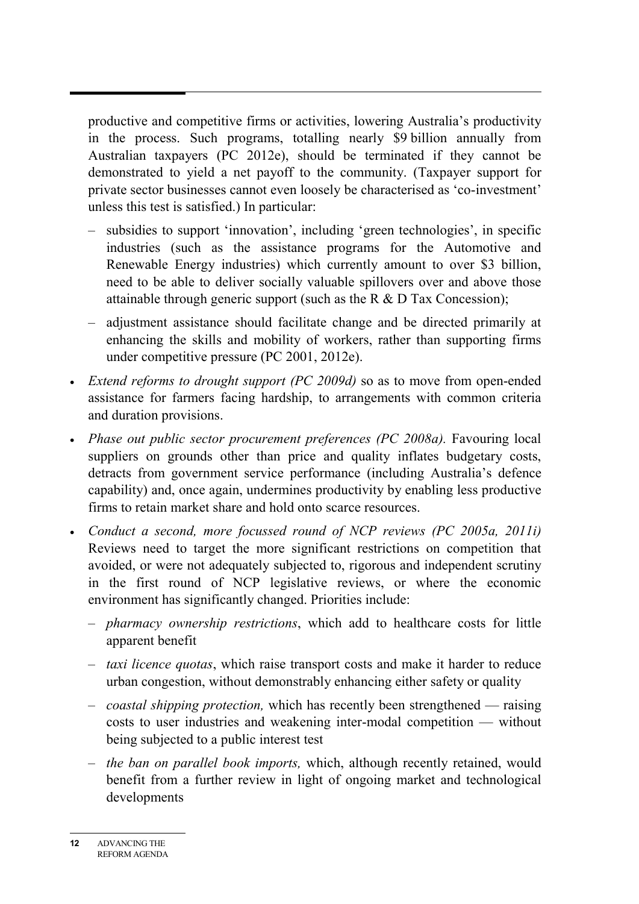productive and competitive firms or activities, lowering Australia's productivity in the process. Such programs, totalling nearly \$9 billion annually from Australian taxpayers (PC 2012e), should be terminated if they cannot be demonstrated to yield a net payoff to the community. (Taxpayer support for private sector businesses cannot even loosely be characterised as 'co-investment' unless this test is satisfied.) In particular:

- subsidies to support 'innovation', including 'green technologies', in specific industries (such as the assistance programs for the Automotive and Renewable Energy industries) which currently amount to over \$3 billion, need to be able to deliver socially valuable spillovers over and above those attainable through generic support (such as the R  $\&$  D Tax Concession);
- adjustment assistance should facilitate change and be directed primarily at enhancing the skills and mobility of workers, rather than supporting firms under competitive pressure (PC 2001, 2012e).
- *Extend reforms to drought support (PC 2009d)* so as to move from open-ended assistance for farmers facing hardship, to arrangements with common criteria and duration provisions.
- *Phase out public sector procurement preferences (PC 2008a).* Favouring local suppliers on grounds other than price and quality inflates budgetary costs, detracts from government service performance (including Australia's defence capability) and, once again, undermines productivity by enabling less productive firms to retain market share and hold onto scarce resources.
- *Conduct a second, more focussed round of NCP reviews (PC 2005a, 2011i)* Reviews need to target the more significant restrictions on competition that avoided, or were not adequately subjected to, rigorous and independent scrutiny in the first round of NCP legislative reviews, or where the economic environment has significantly changed. Priorities include:
	- *pharmacy ownership restrictions*, which add to healthcare costs for little apparent benefit
	- *taxi licence quotas*, which raise transport costs and make it harder to reduce urban congestion, without demonstrably enhancing either safety or quality
	- *coastal shipping protection,* which has recently been strengthened raising costs to user industries and weakening inter-modal competition — without being subjected to a public interest test
	- *the ban on parallel book imports,* which, although recently retained, would benefit from a further review in light of ongoing market and technological developments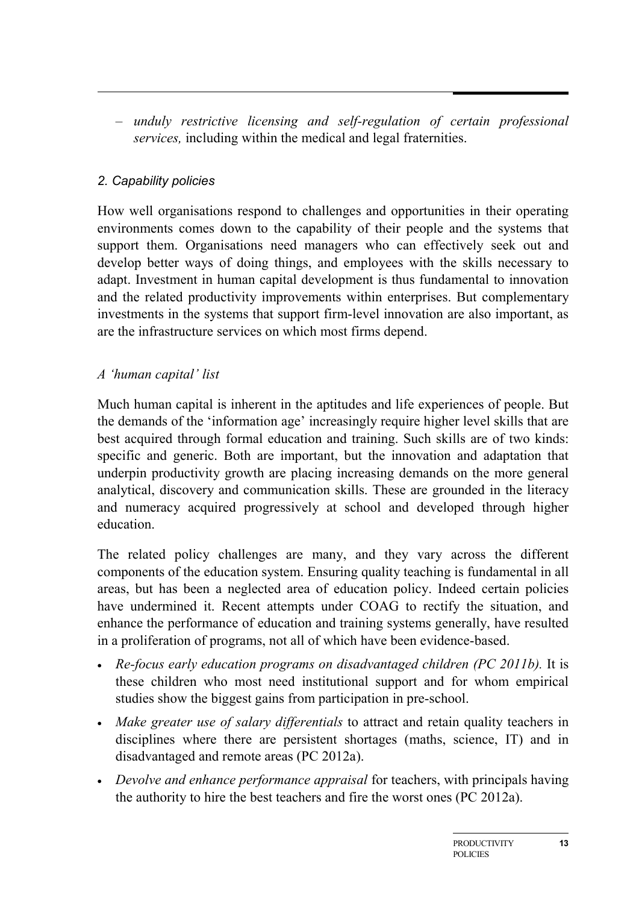– *unduly restrictive licensing and self-regulation of certain professional services,* including within the medical and legal fraternities.

#### *2. Capability policies*

How well organisations respond to challenges and opportunities in their operating environments comes down to the capability of their people and the systems that support them. Organisations need managers who can effectively seek out and develop better ways of doing things, and employees with the skills necessary to adapt. Investment in human capital development is thus fundamental to innovation and the related productivity improvements within enterprises. But complementary investments in the systems that support firm-level innovation are also important, as are the infrastructure services on which most firms depend.

## *A 'human capital' list*

Much human capital is inherent in the aptitudes and life experiences of people. But the demands of the 'information age' increasingly require higher level skills that are best acquired through formal education and training. Such skills are of two kinds: specific and generic. Both are important, but the innovation and adaptation that underpin productivity growth are placing increasing demands on the more general analytical, discovery and communication skills. These are grounded in the literacy and numeracy acquired progressively at school and developed through higher education.

The related policy challenges are many, and they vary across the different components of the education system. Ensuring quality teaching is fundamental in all areas, but has been a neglected area of education policy. Indeed certain policies have undermined it. Recent attempts under COAG to rectify the situation, and enhance the performance of education and training systems generally, have resulted in a proliferation of programs, not all of which have been evidence-based.

- *Re-focus early education programs on disadvantaged children (PC 2011b).* It is these children who most need institutional support and for whom empirical studies show the biggest gains from participation in pre-school.
- *Make greater use of salary differentials* to attract and retain quality teachers in disciplines where there are persistent shortages (maths, science, IT) and in disadvantaged and remote areas (PC 2012a).
- *Devolve and enhance performance appraisal* for teachers, with principals having the authority to hire the best teachers and fire the worst ones (PC 2012a).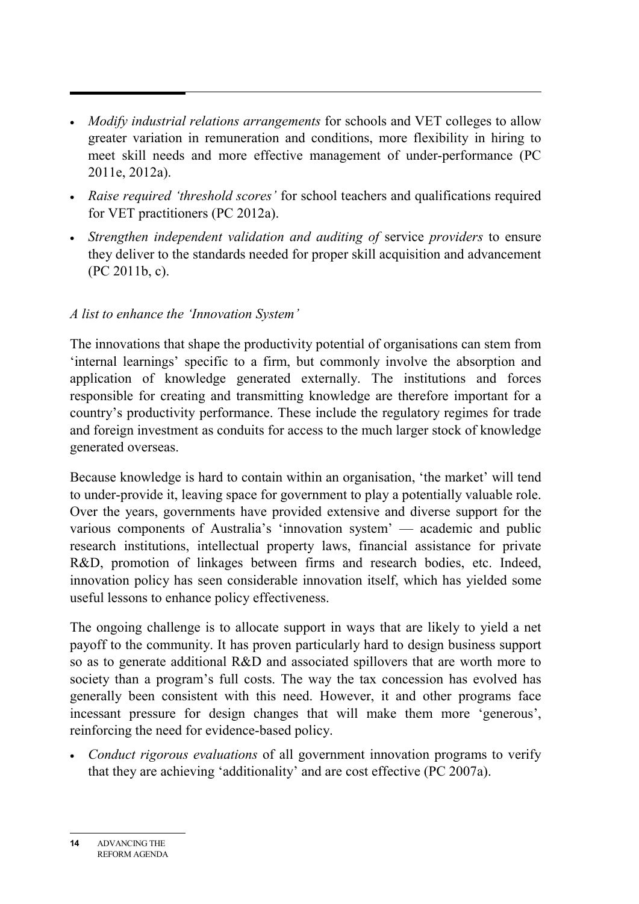- *Modify industrial relations arrangements* for schools and VET colleges to allow greater variation in remuneration and conditions, more flexibility in hiring to meet skill needs and more effective management of under-performance (PC 2011e, 2012a).
- *Raise required 'threshold scores'* for school teachers and qualifications required for VET practitioners (PC 2012a).
- *Strengthen independent validation and auditing of* service *providers* to ensure they deliver to the standards needed for proper skill acquisition and advancement (PC 2011b, c).

## *A list to enhance the 'Innovation System'*

The innovations that shape the productivity potential of organisations can stem from 'internal learnings' specific to a firm, but commonly involve the absorption and application of knowledge generated externally. The institutions and forces responsible for creating and transmitting knowledge are therefore important for a country's productivity performance. These include the regulatory regimes for trade and foreign investment as conduits for access to the much larger stock of knowledge generated overseas.

Because knowledge is hard to contain within an organisation, 'the market' will tend to under-provide it, leaving space for government to play a potentially valuable role. Over the years, governments have provided extensive and diverse support for the various components of Australia's 'innovation system' — academic and public research institutions, intellectual property laws, financial assistance for private R&D, promotion of linkages between firms and research bodies, etc. Indeed, innovation policy has seen considerable innovation itself, which has yielded some useful lessons to enhance policy effectiveness.

The ongoing challenge is to allocate support in ways that are likely to yield a net payoff to the community. It has proven particularly hard to design business support so as to generate additional R&D and associated spillovers that are worth more to society than a program's full costs. The way the tax concession has evolved has generally been consistent with this need. However, it and other programs face incessant pressure for design changes that will make them more 'generous', reinforcing the need for evidence-based policy.

• *Conduct rigorous evaluations* of all government innovation programs to verify that they are achieving 'additionality' and are cost effective (PC 2007a).

**<sup>14</sup>** ADVANCING THE REFORM AGENDA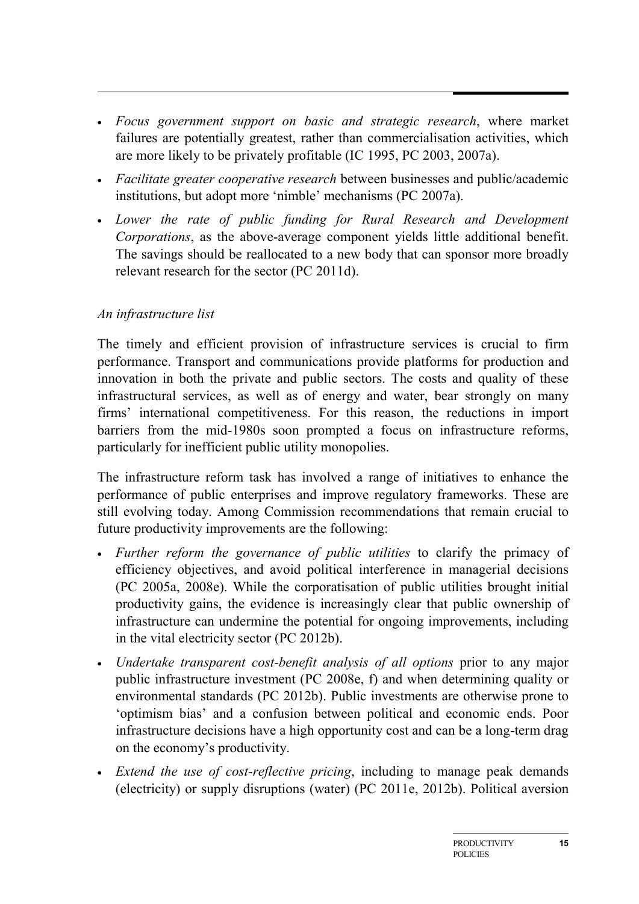- *Focus government support on basic and strategic research*, where market failures are potentially greatest, rather than commercialisation activities, which are more likely to be privately profitable (IC 1995, PC 2003, 2007a).
- *Facilitate greater cooperative research* between businesses and public/academic institutions, but adopt more 'nimble' mechanisms (PC 2007a).
- *Lower the rate of public funding for Rural Research and Development Corporations*, as the above-average component yields little additional benefit. The savings should be reallocated to a new body that can sponsor more broadly relevant research for the sector (PC 2011d).

#### *An infrastructure list*

The timely and efficient provision of infrastructure services is crucial to firm performance. Transport and communications provide platforms for production and innovation in both the private and public sectors. The costs and quality of these infrastructural services, as well as of energy and water, bear strongly on many firms' international competitiveness. For this reason, the reductions in import barriers from the mid-1980s soon prompted a focus on infrastructure reforms, particularly for inefficient public utility monopolies.

The infrastructure reform task has involved a range of initiatives to enhance the performance of public enterprises and improve regulatory frameworks. These are still evolving today. Among Commission recommendations that remain crucial to future productivity improvements are the following:

- *Further reform the governance of public utilities* to clarify the primacy of efficiency objectives, and avoid political interference in managerial decisions (PC 2005a, 2008e). While the corporatisation of public utilities brought initial productivity gains, the evidence is increasingly clear that public ownership of infrastructure can undermine the potential for ongoing improvements, including in the vital electricity sector (PC 2012b).
- *Undertake transparent cost-benefit analysis of all options* prior to any major public infrastructure investment (PC 2008e, f) and when determining quality or environmental standards (PC 2012b). Public investments are otherwise prone to 'optimism bias' and a confusion between political and economic ends. Poor infrastructure decisions have a high opportunity cost and can be a long-term drag on the economy's productivity.
- *Extend the use of cost-reflective pricing*, including to manage peak demands (electricity) or supply disruptions (water) (PC 2011e, 2012b). Political aversion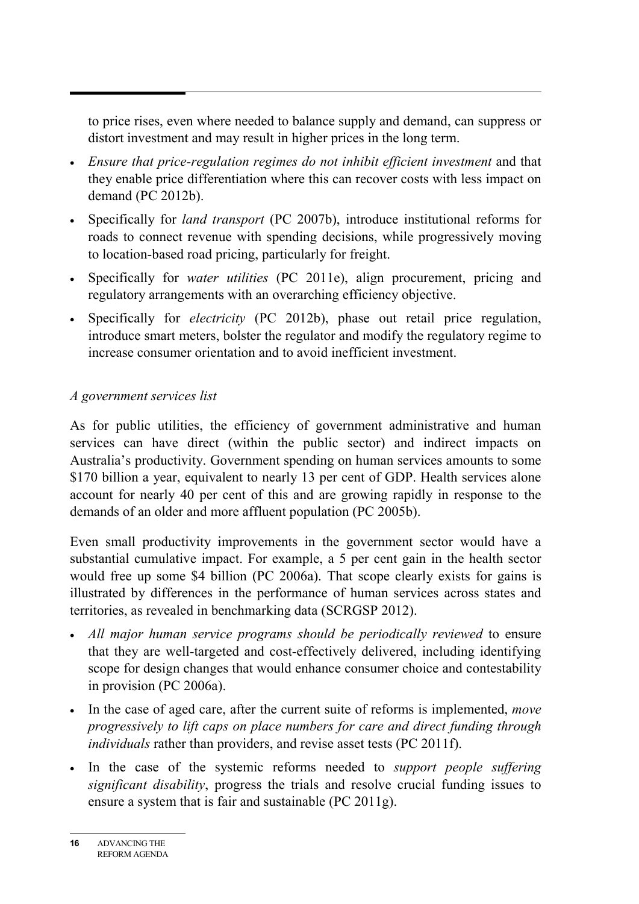to price rises, even where needed to balance supply and demand, can suppress or distort investment and may result in higher prices in the long term.

- *Ensure that price-regulation regimes do not inhibit efficient investment* and that they enable price differentiation where this can recover costs with less impact on demand (PC 2012b).
- Specifically for *land transport* (PC 2007b), introduce institutional reforms for roads to connect revenue with spending decisions, while progressively moving to location-based road pricing, particularly for freight.
- Specifically for *water utilities* (PC 2011e), align procurement, pricing and regulatory arrangements with an overarching efficiency objective.
- Specifically for *electricity* (PC 2012b), phase out retail price regulation, introduce smart meters, bolster the regulator and modify the regulatory regime to increase consumer orientation and to avoid inefficient investment.

#### *A government services list*

As for public utilities, the efficiency of government administrative and human services can have direct (within the public sector) and indirect impacts on Australia's productivity. Government spending on human services amounts to some \$170 billion a year, equivalent to nearly 13 per cent of GDP. Health services alone account for nearly 40 per cent of this and are growing rapidly in response to the demands of an older and more affluent population (PC 2005b).

Even small productivity improvements in the government sector would have a substantial cumulative impact. For example, a 5 per cent gain in the health sector would free up some \$4 billion (PC 2006a). That scope clearly exists for gains is illustrated by differences in the performance of human services across states and territories, as revealed in benchmarking data (SCRGSP 2012).

- *All major human service programs should be periodically reviewed* to ensure that they are well-targeted and cost-effectively delivered, including identifying scope for design changes that would enhance consumer choice and contestability in provision (PC 2006a).
- In the case of aged care, after the current suite of reforms is implemented, *move progressively to lift caps on place numbers for care and direct funding through individuals* rather than providers, and revise asset tests (PC 2011f).
- In the case of the systemic reforms needed to *support people suffering significant disability*, progress the trials and resolve crucial funding issues to ensure a system that is fair and sustainable (PC 2011g).

**<sup>16</sup>** ADVANCING THE REFORM AGENDA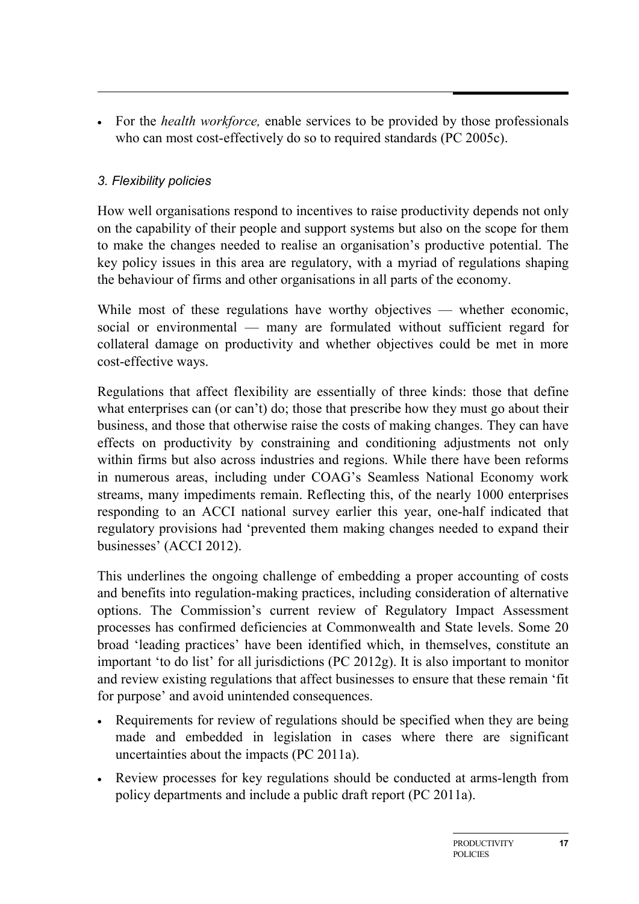• For the *health workforce,* enable services to be provided by those professionals who can most cost-effectively do so to required standards (PC 2005c).

## *3. Flexibility policies*

How well organisations respond to incentives to raise productivity depends not only on the capability of their people and support systems but also on the scope for them to make the changes needed to realise an organisation's productive potential. The key policy issues in this area are regulatory, with a myriad of regulations shaping the behaviour of firms and other organisations in all parts of the economy.

While most of these regulations have worthy objectives — whether economic, social or environmental — many are formulated without sufficient regard for collateral damage on productivity and whether objectives could be met in more cost-effective ways.

Regulations that affect flexibility are essentially of three kinds: those that define what enterprises can (or can't) do; those that prescribe how they must go about their business, and those that otherwise raise the costs of making changes. They can have effects on productivity by constraining and conditioning adjustments not only within firms but also across industries and regions. While there have been reforms in numerous areas, including under COAG's Seamless National Economy work streams, many impediments remain. Reflecting this, of the nearly 1000 enterprises responding to an ACCI national survey earlier this year, one-half indicated that regulatory provisions had 'prevented them making changes needed to expand their businesses' (ACCI 2012).

This underlines the ongoing challenge of embedding a proper accounting of costs and benefits into regulation-making practices, including consideration of alternative options. The Commission's current review of Regulatory Impact Assessment processes has confirmed deficiencies at Commonwealth and State levels. Some 20 broad 'leading practices' have been identified which, in themselves, constitute an important 'to do list' for all jurisdictions (PC 2012g). It is also important to monitor and review existing regulations that affect businesses to ensure that these remain 'fit for purpose' and avoid unintended consequences.

- Requirements for review of regulations should be specified when they are being made and embedded in legislation in cases where there are significant uncertainties about the impacts (PC 2011a).
- Review processes for key regulations should be conducted at arms-length from policy departments and include a public draft report (PC 2011a).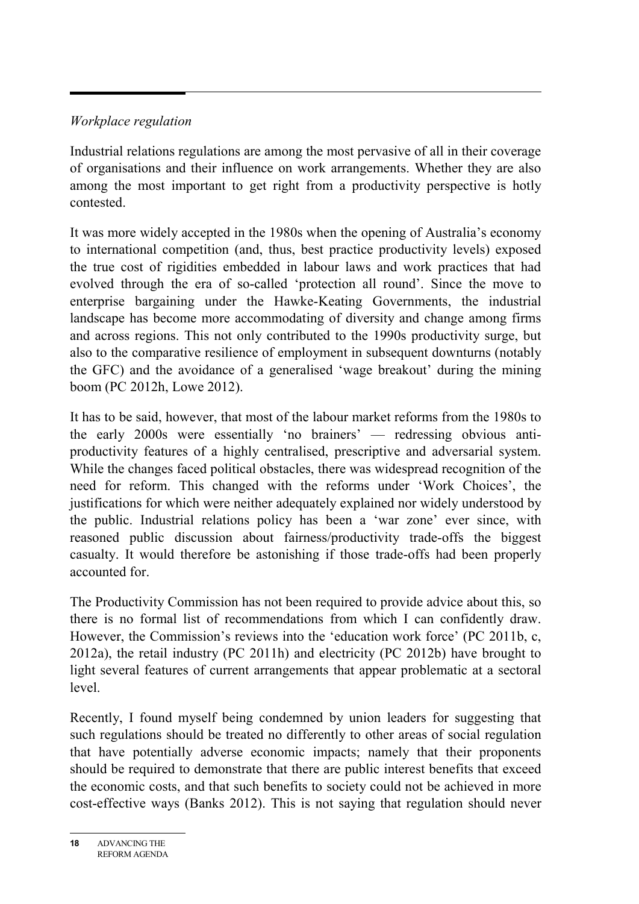## *Workplace regulation*

Industrial relations regulations are among the most pervasive of all in their coverage of organisations and their influence on work arrangements. Whether they are also among the most important to get right from a productivity perspective is hotly contested.

It was more widely accepted in the 1980s when the opening of Australia's economy to international competition (and, thus, best practice productivity levels) exposed the true cost of rigidities embedded in labour laws and work practices that had evolved through the era of so-called 'protection all round'. Since the move to enterprise bargaining under the Hawke-Keating Governments, the industrial landscape has become more accommodating of diversity and change among firms and across regions. This not only contributed to the 1990s productivity surge, but also to the comparative resilience of employment in subsequent downturns (notably the GFC) and the avoidance of a generalised 'wage breakout' during the mining boom (PC 2012h, Lowe 2012).

It has to be said, however, that most of the labour market reforms from the 1980s to the early 2000s were essentially 'no brainers' — redressing obvious antiproductivity features of a highly centralised, prescriptive and adversarial system. While the changes faced political obstacles, there was widespread recognition of the need for reform. This changed with the reforms under 'Work Choices', the justifications for which were neither adequately explained nor widely understood by the public. Industrial relations policy has been a 'war zone' ever since, with reasoned public discussion about fairness/productivity trade-offs the biggest casualty. It would therefore be astonishing if those trade-offs had been properly accounted for.

The Productivity Commission has not been required to provide advice about this, so there is no formal list of recommendations from which I can confidently draw. However, the Commission's reviews into the 'education work force' (PC 2011b, c, 2012a), the retail industry (PC 2011h) and electricity (PC 2012b) have brought to light several features of current arrangements that appear problematic at a sectoral level.

Recently, I found myself being condemned by union leaders for suggesting that such regulations should be treated no differently to other areas of social regulation that have potentially adverse economic impacts; namely that their proponents should be required to demonstrate that there are public interest benefits that exceed the economic costs, and that such benefits to society could not be achieved in more cost-effective ways (Banks 2012). This is not saying that regulation should never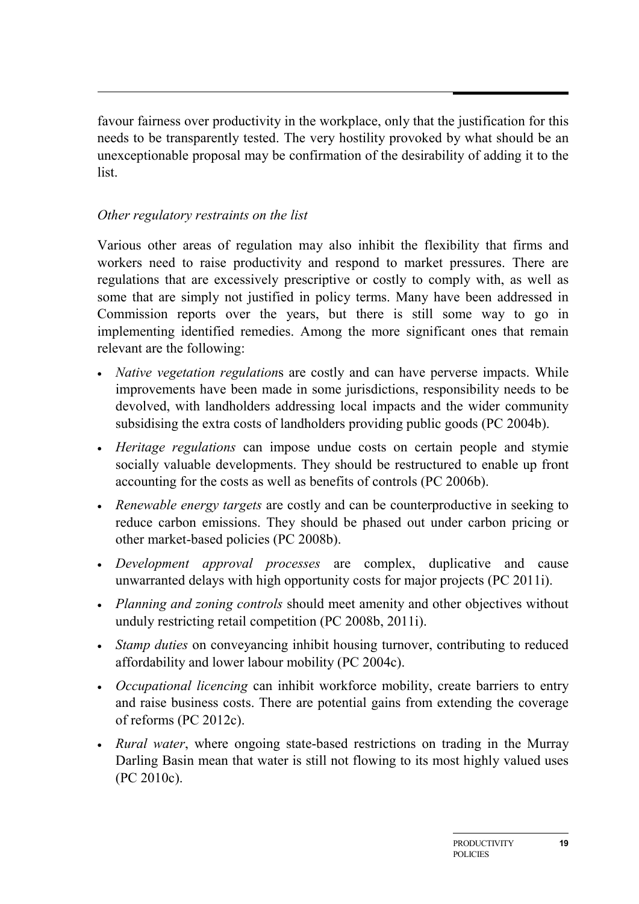favour fairness over productivity in the workplace, only that the justification for this needs to be transparently tested. The very hostility provoked by what should be an unexceptionable proposal may be confirmation of the desirability of adding it to the list.

## *Other regulatory restraints on the list*

Various other areas of regulation may also inhibit the flexibility that firms and workers need to raise productivity and respond to market pressures. There are regulations that are excessively prescriptive or costly to comply with, as well as some that are simply not justified in policy terms. Many have been addressed in Commission reports over the years, but there is still some way to go in implementing identified remedies. Among the more significant ones that remain relevant are the following:

- *Native vegetation regulation*s are costly and can have perverse impacts. While improvements have been made in some jurisdictions, responsibility needs to be devolved, with landholders addressing local impacts and the wider community subsidising the extra costs of landholders providing public goods (PC 2004b).
- *Heritage regulations* can impose undue costs on certain people and stymie socially valuable developments. They should be restructured to enable up front accounting for the costs as well as benefits of controls (PC 2006b).
- *Renewable energy targets* are costly and can be counterproductive in seeking to reduce carbon emissions. They should be phased out under carbon pricing or other market-based policies (PC 2008b).
- *Development approval processes* are complex, duplicative and cause unwarranted delays with high opportunity costs for major projects (PC 2011i).
- *Planning and zoning controls* should meet amenity and other objectives without unduly restricting retail competition (PC 2008b, 2011i).
- *Stamp duties* on conveyancing inhibit housing turnover, contributing to reduced affordability and lower labour mobility (PC 2004c).
- *Occupational licencing* can inhibit workforce mobility, create barriers to entry and raise business costs. There are potential gains from extending the coverage of reforms (PC 2012c).
- *Rural water*, where ongoing state-based restrictions on trading in the Murray Darling Basin mean that water is still not flowing to its most highly valued uses (PC 2010c).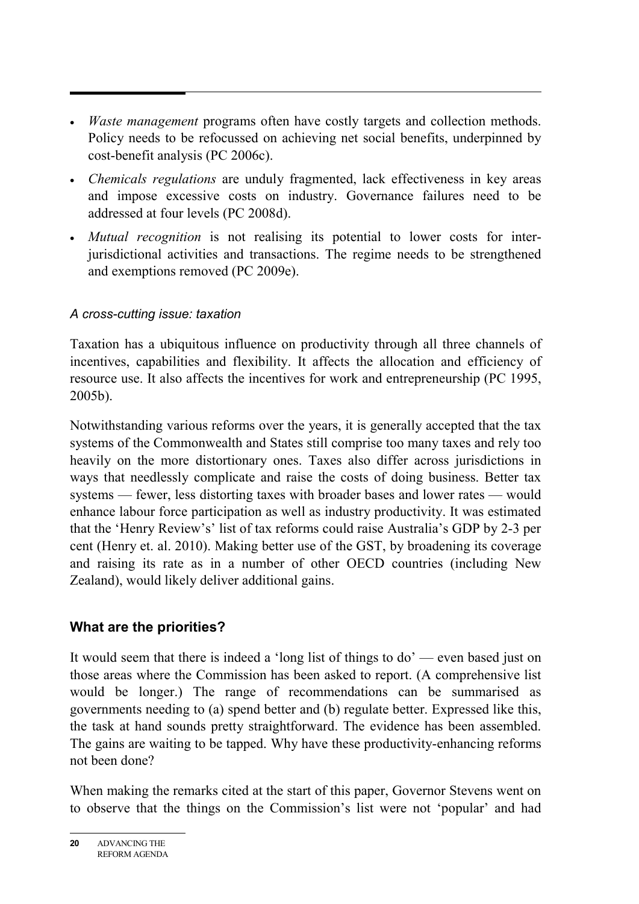- *Waste management* programs often have costly targets and collection methods. Policy needs to be refocussed on achieving net social benefits, underpinned by cost-benefit analysis (PC 2006c).
- *Chemicals regulations* are unduly fragmented, lack effectiveness in key areas and impose excessive costs on industry. Governance failures need to be addressed at four levels (PC 2008d).
- *Mutual recognition* is not realising its potential to lower costs for interjurisdictional activities and transactions. The regime needs to be strengthened and exemptions removed (PC 2009e).

## *A cross-cutting issue: taxation*

Taxation has a ubiquitous influence on productivity through all three channels of incentives, capabilities and flexibility. It affects the allocation and efficiency of resource use. It also affects the incentives for work and entrepreneurship (PC 1995, 2005b).

Notwithstanding various reforms over the years, it is generally accepted that the tax systems of the Commonwealth and States still comprise too many taxes and rely too heavily on the more distortionary ones. Taxes also differ across jurisdictions in ways that needlessly complicate and raise the costs of doing business. Better tax systems — fewer, less distorting taxes with broader bases and lower rates — would enhance labour force participation as well as industry productivity. It was estimated that the 'Henry Review's' list of tax reforms could raise Australia's GDP by 2-3 per cent (Henry et. al. 2010). Making better use of the GST, by broadening its coverage and raising its rate as in a number of other OECD countries (including New Zealand), would likely deliver additional gains.

# **What are the priorities?**

It would seem that there is indeed a 'long list of things to do' — even based just on those areas where the Commission has been asked to report. (A comprehensive list would be longer.) The range of recommendations can be summarised as governments needing to (a) spend better and (b) regulate better. Expressed like this, the task at hand sounds pretty straightforward. The evidence has been assembled. The gains are waiting to be tapped. Why have these productivity-enhancing reforms not been done?

When making the remarks cited at the start of this paper, Governor Stevens went on to observe that the things on the Commission's list were not 'popular' and had

**<sup>20</sup>** ADVANCING THE REFORM AGENDA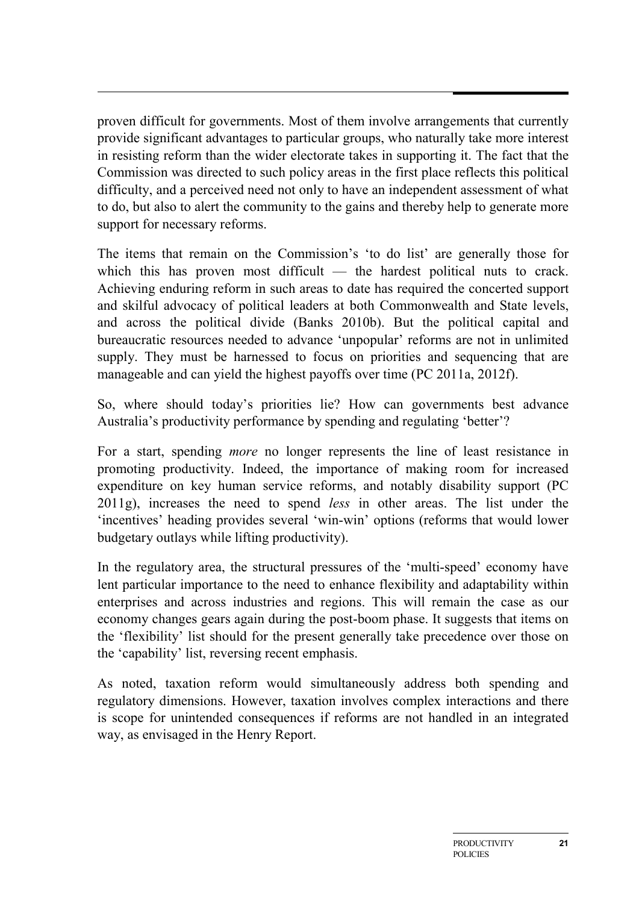proven difficult for governments. Most of them involve arrangements that currently provide significant advantages to particular groups, who naturally take more interest in resisting reform than the wider electorate takes in supporting it. The fact that the Commission was directed to such policy areas in the first place reflects this political difficulty, and a perceived need not only to have an independent assessment of what to do, but also to alert the community to the gains and thereby help to generate more support for necessary reforms.

The items that remain on the Commission's 'to do list' are generally those for which this has proven most difficult — the hardest political nuts to crack. Achieving enduring reform in such areas to date has required the concerted support and skilful advocacy of political leaders at both Commonwealth and State levels, and across the political divide (Banks 2010b). But the political capital and bureaucratic resources needed to advance 'unpopular' reforms are not in unlimited supply. They must be harnessed to focus on priorities and sequencing that are manageable and can yield the highest payoffs over time (PC 2011a, 2012f).

So, where should today's priorities lie? How can governments best advance Australia's productivity performance by spending and regulating 'better'?

For a start, spending *more* no longer represents the line of least resistance in promoting productivity. Indeed, the importance of making room for increased expenditure on key human service reforms, and notably disability support (PC 2011g), increases the need to spend *less* in other areas. The list under the 'incentives' heading provides several 'win-win' options (reforms that would lower budgetary outlays while lifting productivity).

In the regulatory area, the structural pressures of the 'multi-speed' economy have lent particular importance to the need to enhance flexibility and adaptability within enterprises and across industries and regions. This will remain the case as our economy changes gears again during the post-boom phase. It suggests that items on the 'flexibility' list should for the present generally take precedence over those on the 'capability' list, reversing recent emphasis.

As noted, taxation reform would simultaneously address both spending and regulatory dimensions. However, taxation involves complex interactions and there is scope for unintended consequences if reforms are not handled in an integrated way, as envisaged in the Henry Report.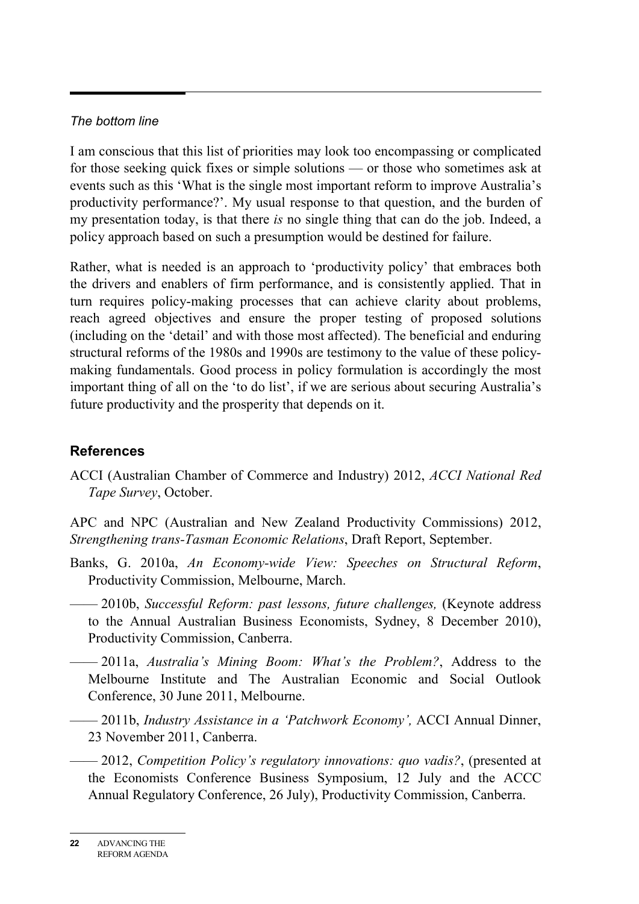#### *The bottom line*

I am conscious that this list of priorities may look too encompassing or complicated for those seeking quick fixes or simple solutions — or those who sometimes ask at events such as this 'What is the single most important reform to improve Australia's productivity performance?'. My usual response to that question, and the burden of my presentation today, is that there *is* no single thing that can do the job. Indeed, a policy approach based on such a presumption would be destined for failure.

Rather, what is needed is an approach to 'productivity policy' that embraces both the drivers and enablers of firm performance, and is consistently applied. That in turn requires policy-making processes that can achieve clarity about problems, reach agreed objectives and ensure the proper testing of proposed solutions (including on the 'detail' and with those most affected). The beneficial and enduring structural reforms of the 1980s and 1990s are testimony to the value of these policymaking fundamentals. Good process in policy formulation is accordingly the most important thing of all on the 'to do list', if we are serious about securing Australia's future productivity and the prosperity that depends on it.

## **References**

ACCI (Australian Chamber of Commerce and Industry) 2012, *ACCI National Red Tape Survey*, October.

APC and NPC (Australian and New Zealand Productivity Commissions) 2012, *Strengthening trans-Tasman Economic Relations*, Draft Report, September.

- Banks, G. 2010a, *An Economy-wide View: Speeches on Structural Reform*, Productivity Commission, Melbourne, March.
- —— 2010b, *Successful Reform: past lessons, future challenges,* (Keynote address to the Annual Australian Business Economists, Sydney, 8 December 2010), Productivity Commission, Canberra.
- —— 2011a, *Australia's Mining Boom: What's the Problem?*, Address to the Melbourne Institute and The Australian Economic and Social Outlook Conference, 30 June 2011, Melbourne.
- —— 2011b, *Industry Assistance in a 'Patchwork Economy',* ACCI Annual Dinner, 23 November 2011, Canberra.
- —— 2012, *Competition Policy's regulatory innovations: quo vadis?*, (presented at the Economists Conference Business Symposium, 12 July and the ACCC Annual Regulatory Conference, 26 July), Productivity Commission, Canberra.

**<sup>22</sup>** ADVANCING THE REFORM AGENDA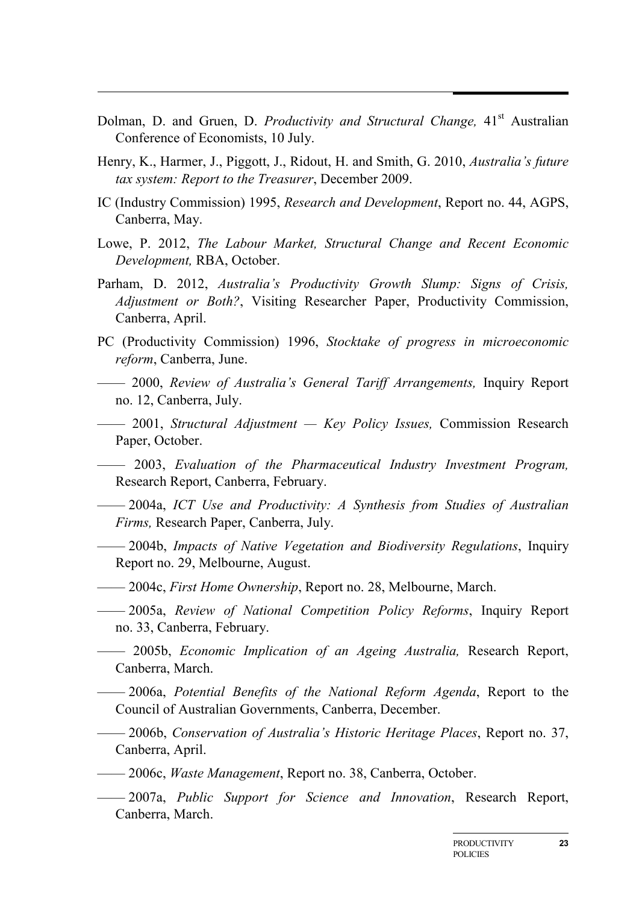- Dolman, D. and Gruen, D. *Productivity and Structural Change*, 41<sup>st</sup> Australian Conference of Economists, 10 July.
- Henry, K., Harmer, J., Piggott, J., Ridout, H. and Smith, G. 2010, *Australia's future tax system: Report to the Treasurer*, December 2009.
- IC (Industry Commission) 1995, *Research and Development*, Report no. 44, AGPS, Canberra, May.
- Lowe, P. 2012, *The Labour Market, Structural Change and Recent Economic Development,* RBA, October.
- Parham, D. 2012, *Australia's Productivity Growth Slump: Signs of Crisis, Adjustment or Both?*, Visiting Researcher Paper, Productivity Commission, Canberra, April.
- PC (Productivity Commission) 1996, *Stocktake of progress in microeconomic reform*, Canberra, June.
- —— 2000, *Review of Australia's General Tariff Arrangements,* Inquiry Report no. 12, Canberra, July.
- —— 2001, *Structural Adjustment — Key Policy Issues,* Commission Research Paper, October.
- —— 2003, *Evaluation of the Pharmaceutical Industry Investment Program,*  Research Report, Canberra, February.
- —— 2004a, *ICT Use and Productivity: A Synthesis from Studies of Australian Firms,* Research Paper, Canberra, July.
- —— 2004b, *Impacts of Native Vegetation and Biodiversity Regulations*, Inquiry Report no. 29, Melbourne, August.
- —— 2004c, *First Home Ownership*, Report no. 28, Melbourne, March.
- —— 2005a, *Review of National Competition Policy Reforms*, Inquiry Report no. 33, Canberra, February.
- —— 2005b, *Economic Implication of an Ageing Australia,* Research Report, Canberra, March.
- —— 2006a, *Potential Benefits of the National Reform Agenda*, Report to the Council of Australian Governments, Canberra, December.
- —— 2006b, *Conservation of Australia's Historic Heritage Places*, Report no. 37, Canberra, April.
- —— 2006c, *Waste Management*, Report no. 38, Canberra, October.
- —— 2007a, *Public Support for Science and Innovation*, Research Report, Canberra, March.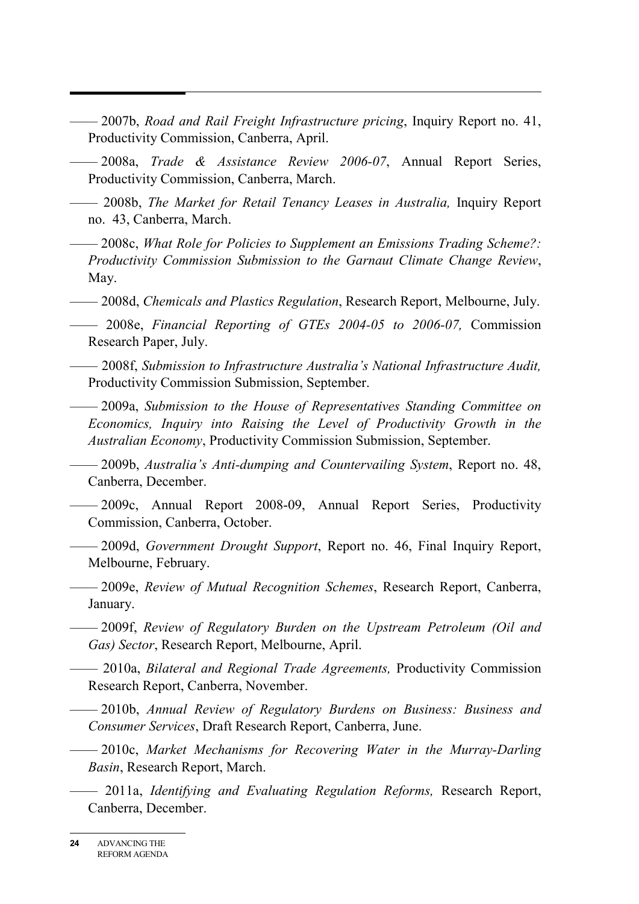- —— 2007b, *Road and Rail Freight Infrastructure pricing*, Inquiry Report no. 41, Productivity Commission, Canberra, April.
- —— 2008a, *Trade & Assistance Review 2006-07*, Annual Report Series, Productivity Commission, Canberra, March.
- —— 2008b, *The Market for Retail Tenancy Leases in Australia,* Inquiry Report no. 43, Canberra, March.
- —— 2008c, *What Role for Policies to Supplement an Emissions Trading Scheme?: Productivity Commission Submission to the Garnaut Climate Change Review*, May.
- —— 2008d, *Chemicals and Plastics Regulation*, Research Report, Melbourne, July.
- —— 2008e, *Financial Reporting of GTEs 2004-05 to 2006-07,* Commission Research Paper, July.
- —— 2008f, *Submission to Infrastructure Australia's National Infrastructure Audit,*  Productivity Commission Submission, September.
- —— 2009a, *Submission to the House of Representatives Standing Committee on Economics, Inquiry into Raising the Level of Productivity Growth in the Australian Economy*, Productivity Commission Submission, September.
- —— 2009b, *Australia's Anti-dumping and Countervailing System*, Report no. 48, Canberra, December.
- —— 2009c, Annual Report 2008-09, Annual Report Series, Productivity Commission, Canberra, October.
	- —— 2009d, *Government Drought Support*, Report no. 46, Final Inquiry Report, Melbourne, February.
- —— 2009e, *Review of Mutual Recognition Schemes*, Research Report, Canberra, January.
- —— 2009f, *Review of Regulatory Burden on the Upstream Petroleum (Oil and Gas) Sector*, Research Report, Melbourne, April.
- —— 2010a, *Bilateral and Regional Trade Agreements,* Productivity Commission Research Report, Canberra, November.
- —— 2010b, *Annual Review of Regulatory Burdens on Business: Business and Consumer Services*, Draft Research Report, Canberra, June.
	- —— 2010c, *Market Mechanisms for Recovering Water in the Murray-Darling Basin*, Research Report, March.
- —— 2011a, *Identifying and Evaluating Regulation Reforms,* Research Report, Canberra, December.

**<sup>24</sup>** ADVANCING THE REFORM AGENDA